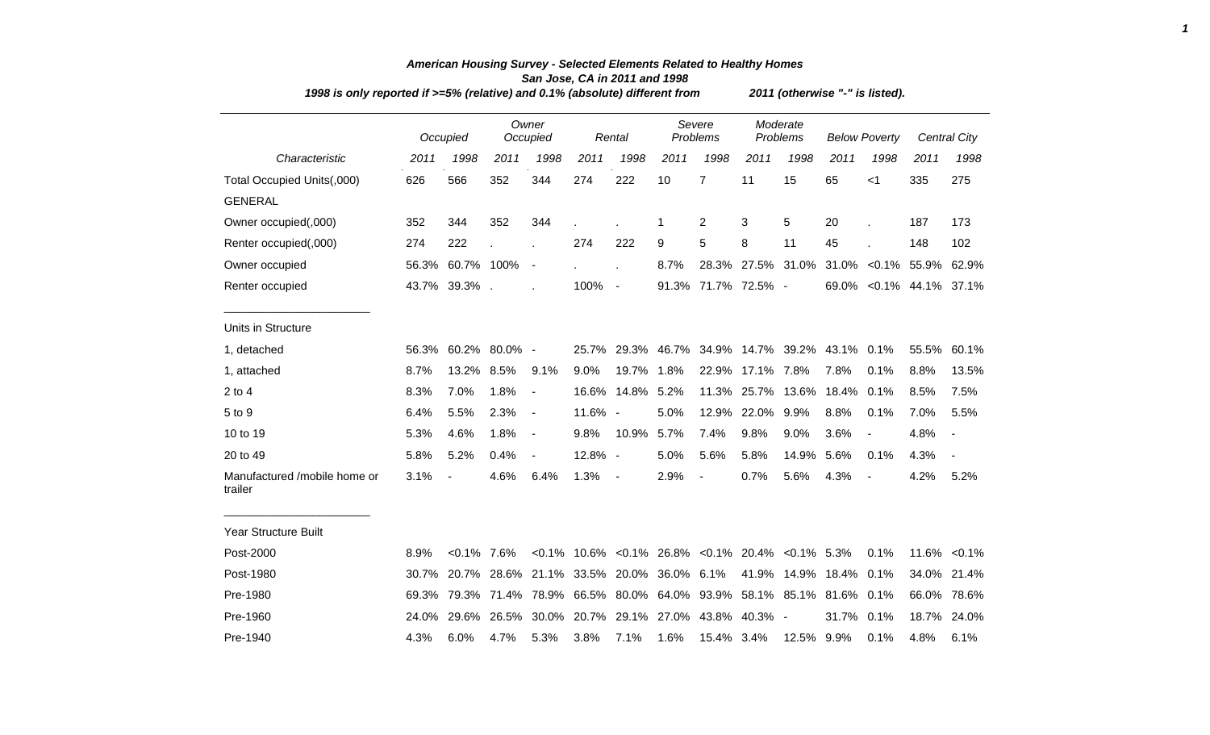| 1998 is only reported if >=5% (relative) and 0.1% (absolute) different from | 2011 (otherwise "-" is listed). |                  |               |                              |                               |                          |                    |                                                                |                      |       |                        |                          |                          |                |
|-----------------------------------------------------------------------------|---------------------------------|------------------|---------------|------------------------------|-------------------------------|--------------------------|--------------------|----------------------------------------------------------------|----------------------|-------|------------------------|--------------------------|--------------------------|----------------|
|                                                                             |                                 | Occupied         |               | Owner<br>Occupied            |                               | Rental                   | Severe<br>Problems |                                                                | Moderate<br>Problems |       | <b>Below Poverty</b>   |                          |                          | Central City   |
| Characteristic                                                              | 2011                            | 1998             | 2011          | 1998                         | 2011                          | 1998                     | 2011               | 1998                                                           | 2011                 | 1998  | 2011                   | 1998                     | 2011                     | 1998           |
| Total Occupied Units(,000)                                                  | 626                             | 566              | 352           | 344                          | 274                           | 222                      | 10                 | $\overline{7}$                                                 | 11                   | 15    | 65                     | < 1                      | 335                      | 275            |
| <b>GENERAL</b>                                                              |                                 |                  |               |                              |                               |                          |                    |                                                                |                      |       |                        |                          |                          |                |
| Owner occupied(,000)                                                        | 352                             | 344              | 352           | 344                          |                               |                          | -1                 | 2                                                              | 3                    | 5     | 20                     |                          | 187                      | 173            |
| Renter occupied(,000)                                                       | 274                             | 222              |               |                              | 274                           | 222                      | 9                  | 5                                                              | 8                    | 11    | 45                     |                          | 148                      | 102            |
| Owner occupied                                                              |                                 | 56.3% 60.7% 100% |               | $\overline{\phantom{a}}$     |                               |                          | 8.7%               |                                                                | 28.3% 27.5% 31.0%    |       |                        |                          | 31.0% < 0.1% 55.9%       | 62.9%          |
| Renter occupied                                                             |                                 | 43.7% 39.3%      |               |                              | 100%                          | $\sim$ $-$               |                    | 91.3% 71.7% 72.5% -                                            |                      |       |                        |                          | 69.0% < 0.1% 44.1% 37.1% |                |
| Units in Structure                                                          |                                 |                  |               |                              |                               |                          |                    |                                                                |                      |       |                        |                          |                          |                |
| 1, detached                                                                 | 56.3%                           |                  | 60.2% 80.0% - |                              | 25.7%                         | 29.3%                    | 46.7%              | 34.9%                                                          | 14.7%                | 39.2% | 43.1%                  | 0.1%                     | 55.5%                    | 60.1%          |
| 1, attached                                                                 | 8.7%                            | 13.2%            | 8.5%          | 9.1%                         | 9.0%                          | 19.7%                    | 1.8%               | 22.9%                                                          | 17.1%                | 7.8%  | 7.8%                   | 0.1%                     | 8.8%                     | 13.5%          |
| $2$ to 4                                                                    | 8.3%                            | 7.0%             | 1.8%          | $\blacksquare$               | 16.6%                         | 14.8%                    | 5.2%               | 11.3%                                                          | 25.7%                | 13.6% | 18.4%                  | 0.1%                     | 8.5%                     | 7.5%           |
| 5 to 9                                                                      | 6.4%                            | 5.5%             | 2.3%          | $\qquad \qquad \blacksquare$ | 11.6% -                       |                          | 5.0%               | 12.9%                                                          | 22.0%                | 9.9%  | 8.8%                   | 0.1%                     | 7.0%                     | 5.5%           |
| 10 to 19                                                                    | 5.3%                            | 4.6%             | 1.8%          | $\blacksquare$               | 9.8%                          | 10.9%                    | 5.7%               | 7.4%                                                           | 9.8%                 | 9.0%  | 3.6%                   | $\overline{\phantom{a}}$ | 4.8%                     | $\blacksquare$ |
| 20 to 49                                                                    | 5.8%                            | 5.2%             | 0.4%          | $\overline{\phantom{a}}$     | 12.8% -                       |                          | 5.0%               | 5.6%                                                           | 5.8%                 | 14.9% | 5.6%                   | 0.1%                     | 4.3%                     | $\blacksquare$ |
| Manufactured /mobile home or<br>trailer                                     | 3.1%                            |                  | 4.6%          | 6.4%                         | 1.3%                          | $\overline{\phantom{a}}$ | 2.9%               | $\overline{a}$                                                 | 0.7%                 | 5.6%  | 4.3%                   |                          | 4.2%                     | 5.2%           |
| <b>Year Structure Built</b>                                                 |                                 |                  |               |                              |                               |                          |                    |                                                                |                      |       |                        |                          |                          |                |
| Post-2000                                                                   | 8.9%                            | $< 0.1\%$ 7.6%   |               |                              |                               |                          |                    | $< 0.1\%$ 10.6% $< 0.1\%$ 26.8% $< 0.1\%$ 20.4% $< 0.1\%$ 5.3% |                      |       |                        | 0.1%                     |                          | 11.6% < 0.1%   |
| Post-1980                                                                   | 30.7%                           |                  |               |                              | 20.7% 28.6% 21.1% 33.5% 20.0% |                          | 36.0% 6.1%         |                                                                | 41.9%                |       | 14.9% 18.4% 0.1%       |                          |                          | 34.0% 21.4%    |
| Pre-1980                                                                    | 69.3%                           |                  |               | 79.3% 71.4% 78.9%            |                               | 66.5% 80.0%              |                    | 64.0% 93.9%                                                    |                      |       | 58.1% 85.1% 81.6% 0.1% |                          |                          | 66.0% 78.6%    |
| Pre-1960                                                                    | 24.0%                           |                  | 29.6% 26.5%   | 30.0%                        | 20.7%                         | 29.1%                    | 27.0%              | 43.8%                                                          | 40.3% -              |       | 31.7%                  | 0.1%                     | 18.7%                    | 24.0%          |
| Pre-1940                                                                    | 4.3%                            | 6.0%             | 4.7%          | 5.3%                         | 3.8%                          | 7.1%                     | 1.6%               | 15.4% 3.4%                                                     |                      | 12.5% | 9.9%                   | 0.1%                     | 4.8%                     | 6.1%           |

## *American Housing Survey - Selected Elements Related to Healthy Homes San Jose, CA in 2011 and 1998*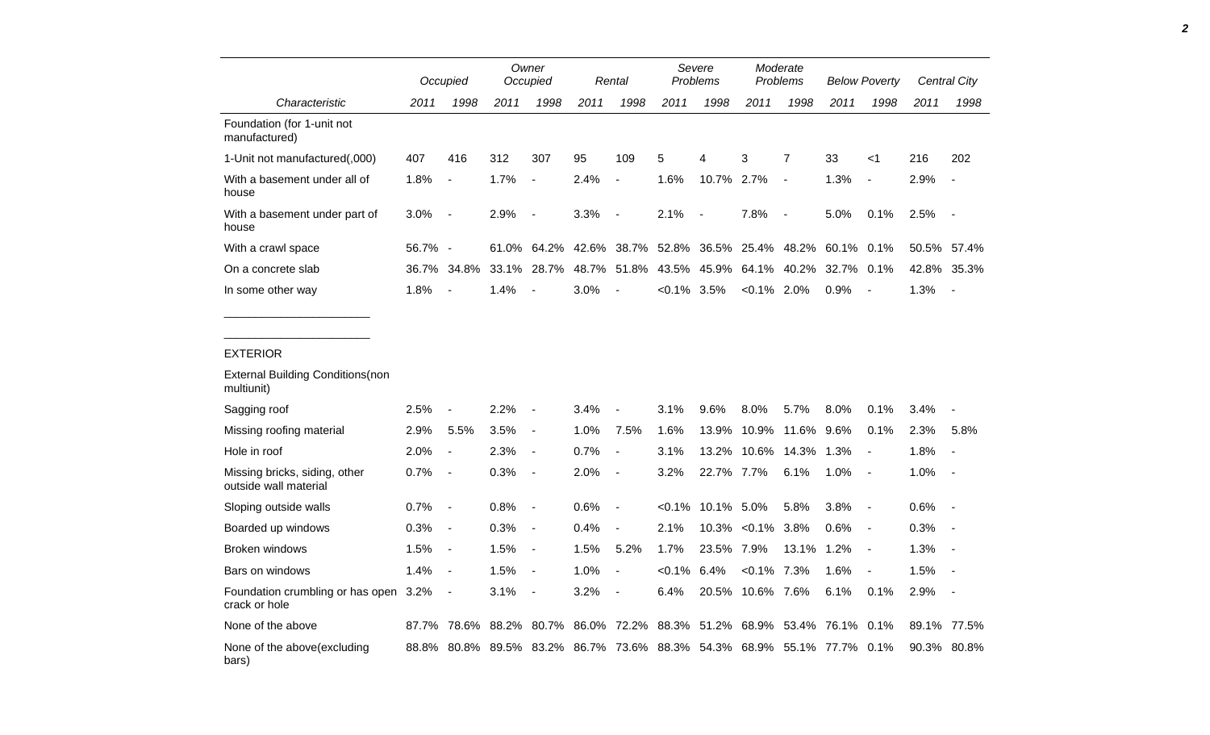|                                                        |         | Occupied                 |       | Owner<br>Occupied        |       | Rental                   | Severe<br>Problems |                          | Moderate<br>Problems |                          | <b>Below Poverty</b> |                          | Central City |                          |
|--------------------------------------------------------|---------|--------------------------|-------|--------------------------|-------|--------------------------|--------------------|--------------------------|----------------------|--------------------------|----------------------|--------------------------|--------------|--------------------------|
| Characteristic                                         | 2011    | 1998                     | 2011  | 1998                     | 2011  | 1998                     | 2011               | 1998                     | 2011                 | 1998                     | 2011                 | 1998                     | 2011         | 1998                     |
| Foundation (for 1-unit not<br>manufactured)            |         |                          |       |                          |       |                          |                    |                          |                      |                          |                      |                          |              |                          |
| 1-Unit not manufactured(,000)                          | 407     | 416                      | 312   | 307                      | 95    | 109                      | 5                  | 4                        | 3                    | 7                        | 33                   | $<$ 1                    | 216          | 202                      |
| With a basement under all of<br>house                  | 1.8%    | $\overline{a}$           | 1.7%  | $\blacksquare$           | 2.4%  | $\overline{\phantom{a}}$ | 1.6%               | 10.7%                    | 2.7%                 | $\blacksquare$           | 1.3%                 | $\blacksquare$           | 2.9%         |                          |
| With a basement under part of<br>house                 | 3.0%    | $\overline{\phantom{a}}$ | 2.9%  | $\blacksquare$           | 3.3%  | $\overline{\phantom{a}}$ | 2.1%               | $\overline{\phantom{a}}$ | 7.8%                 | $\overline{\phantom{a}}$ | 5.0%                 | 0.1%                     | 2.5%         | $\blacksquare$           |
| With a crawl space                                     | 56.7% - |                          | 61.0% | 64.2%                    | 42.6% | 38.7%                    | 52.8%              | 36.5%                    | 25.4%                | 48.2%                    | 60.1%                | 0.1%                     | 50.5%        | 57.4%                    |
| On a concrete slab                                     | 36.7%   | 34.8%                    | 33.1% | 28.7%                    | 48.7% | 51.8%                    | 43.5%              | 45.9%                    | 64.1%                | 40.2%                    | 32.7%                | 0.1%                     | 42.8%        | 35.3%                    |
| In some other way                                      | 1.8%    |                          | 1.4%  |                          | 3.0%  |                          | $< 0.1\%$          | 3.5%                     | $< 0.1\%$ 2.0%       |                          | 0.9%                 |                          | 1.3%         |                          |
|                                                        |         |                          |       |                          |       |                          |                    |                          |                      |                          |                      |                          |              |                          |
| <b>EXTERIOR</b>                                        |         |                          |       |                          |       |                          |                    |                          |                      |                          |                      |                          |              |                          |
| <b>External Building Conditions (non</b><br>multiunit) |         |                          |       |                          |       |                          |                    |                          |                      |                          |                      |                          |              |                          |
| Sagging roof                                           | 2.5%    |                          | 2.2%  |                          | 3.4%  |                          | 3.1%               | 9.6%                     | 8.0%                 | 5.7%                     | 8.0%                 | 0.1%                     | 3.4%         |                          |
| Missing roofing material                               | 2.9%    | 5.5%                     | 3.5%  | $\blacksquare$           | 1.0%  | 7.5%                     | 1.6%               | 13.9%                    | 10.9%                | 11.6%                    | 9.6%                 | 0.1%                     | 2.3%         | 5.8%                     |
| Hole in roof                                           | 2.0%    | $\overline{\phantom{a}}$ | 2.3%  | $\overline{\phantom{a}}$ | 0.7%  | $\overline{\phantom{a}}$ | 3.1%               | 13.2%                    | 10.6%                | 14.3%                    | 1.3%                 | $\overline{\phantom{a}}$ | 1.8%         | $\overline{\phantom{a}}$ |
| Missing bricks, siding, other<br>outside wall material | 0.7%    | $\overline{a}$           | 0.3%  | $\blacksquare$           | 2.0%  | $\overline{\phantom{a}}$ | 3.2%               | 22.7%                    | 7.7%                 | 6.1%                     | 1.0%                 | $\overline{a}$           | 1.0%         |                          |
| Sloping outside walls                                  | 0.7%    | $\overline{\phantom{a}}$ | 0.8%  | $\blacksquare$           | 0.6%  | $\blacksquare$           | $< 0.1\%$          | 10.1% 5.0%               |                      | 5.8%                     | 3.8%                 | $\overline{\phantom{a}}$ | 0.6%         | $\blacksquare$           |
| Boarded up windows                                     | 0.3%    | $\overline{\phantom{a}}$ | 0.3%  | $\overline{\phantom{a}}$ | 0.4%  | $\overline{\phantom{a}}$ | 2.1%               | 10.3%                    | $< 0.1\%$            | 3.8%                     | 0.6%                 | $\overline{\phantom{a}}$ | 0.3%         |                          |
| <b>Broken windows</b>                                  | 1.5%    | $\overline{\phantom{a}}$ | 1.5%  | $\overline{\phantom{a}}$ | 1.5%  | 5.2%                     | 1.7%               | 23.5%                    | 7.9%                 | 13.1%                    | 1.2%                 | $\overline{a}$           | 1.3%         | $\blacksquare$           |
| Bars on windows                                        | 1.4%    | $\overline{\phantom{a}}$ | 1.5%  | $\overline{\phantom{a}}$ | 1.0%  | $\overline{\phantom{a}}$ | $< 0.1\%$          | 6.4%                     | $< 0.1\%$            | 7.3%                     | 1.6%                 | $\overline{\phantom{a}}$ | 1.5%         |                          |
| Foundation crumbling or has open<br>crack or hole      | 3.2%    |                          | 3.1%  | $\overline{\phantom{a}}$ | 3.2%  |                          | 6.4%               | 20.5%                    | 10.6% 7.6%           |                          | 6.1%                 | 0.1%                     | 2.9%         |                          |
| None of the above                                      | 87.7%   | 78.6%                    | 88.2% | 80.7%                    | 86.0% | 72.2%                    | 88.3%              | 51.2%                    | 68.9%                | 53.4%                    | 76.1%                | 0.1%                     | 89.1%        | 77.5%                    |
| None of the above(excluding<br>bars)                   | 88.8%   | 80.8%                    | 89.5% | 83.2%                    |       | 86.7% 73.6%              |                    | 88.3% 54.3%              | 68.9% 55.1%          |                          | 77.7% 0.1%           |                          |              | 90.3% 80.8%              |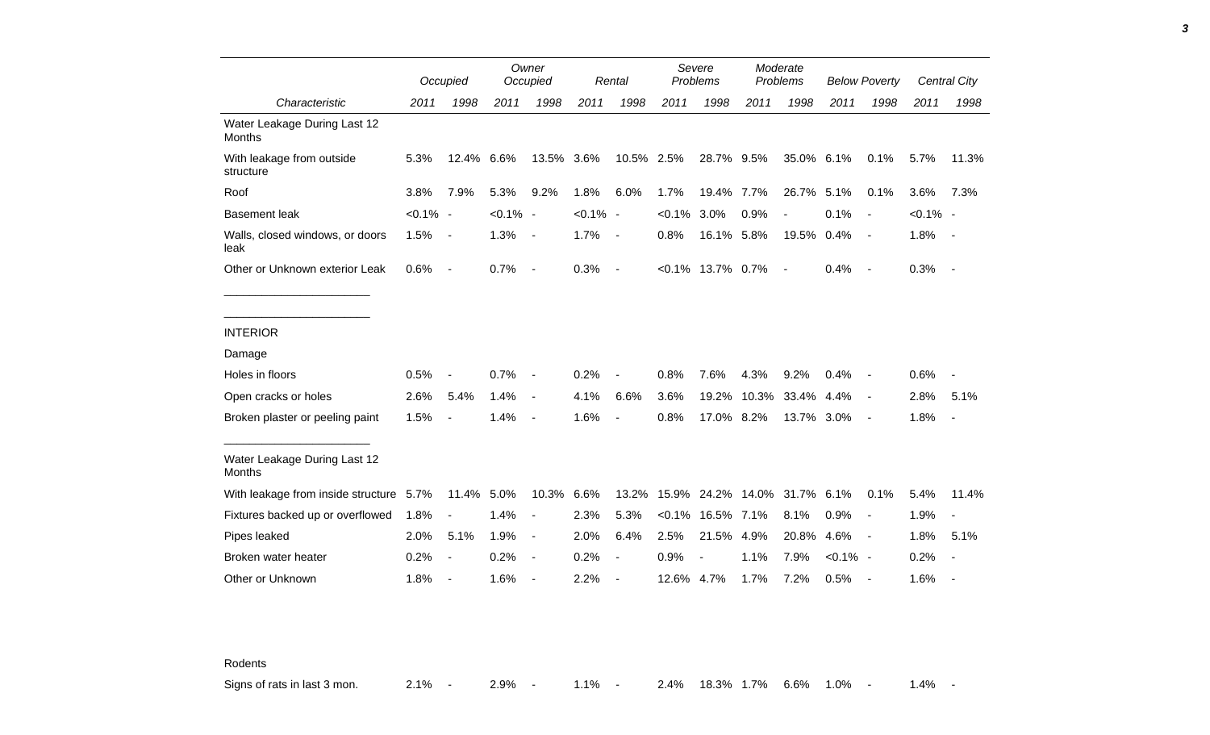|                                         |             | Occupied                 |             | Owner<br>Occupied        |             | Rental                   |            | Severe<br>Problems       |       | Moderate<br>Problems     |             | <b>Below Poverty</b>     |             | Central City             |
|-----------------------------------------|-------------|--------------------------|-------------|--------------------------|-------------|--------------------------|------------|--------------------------|-------|--------------------------|-------------|--------------------------|-------------|--------------------------|
| Characteristic                          | 2011        | 1998                     | 2011        | 1998                     | 2011        | 1998                     | 2011       | 1998                     | 2011  | 1998                     | 2011        | 1998                     | 2011        | 1998                     |
| Water Leakage During Last 12<br>Months  |             |                          |             |                          |             |                          |            |                          |       |                          |             |                          |             |                          |
| With leakage from outside<br>structure  | 5.3%        | 12.4% 6.6%               |             | 13.5% 3.6%               |             | 10.5% 2.5%               |            | 28.7% 9.5%               |       | 35.0% 6.1%               |             | 0.1%                     | 5.7%        | 11.3%                    |
| Roof                                    | 3.8%        | 7.9%                     | 5.3%        | 9.2%                     | 1.8%        | 6.0%                     | 1.7%       | 19.4%                    | 7.7%  | 26.7%                    | 5.1%        | 0.1%                     | 3.6%        | 7.3%                     |
| <b>Basement leak</b>                    | $< 0.1\%$ - |                          | $< 0.1\%$ - |                          | $< 0.1\%$ - |                          | $< 0.1\%$  | 3.0%                     | 0.9%  | $\blacksquare$           | 0.1%        | $\overline{\phantom{a}}$ | $< 0.1\%$ - |                          |
| Walls, closed windows, or doors<br>leak | 1.5%        | $\sim$                   | 1.3%        | $\sim$                   | 1.7%        | $\blacksquare$           | 0.8%       | 16.1% 5.8%               |       | 19.5%                    | 0.4%        | $\sim$                   | 1.8%        | $\sim$ $-$               |
| Other or Unknown exterior Leak          | 0.6%        | $\sim$ $-$               | 0.7%        | $\sim$                   | 0.3%        | $\blacksquare$           |            | $<0.1\%$ 13.7% 0.7%      |       | $\overline{\phantom{a}}$ | 0.4%        | $\sim$                   | 0.3%        | $\sim$ $-$               |
| <b>INTERIOR</b>                         |             |                          |             |                          |             |                          |            |                          |       |                          |             |                          |             |                          |
| Damage                                  |             |                          |             |                          |             |                          |            |                          |       |                          |             |                          |             |                          |
| Holes in floors                         | 0.5%        | $\overline{\phantom{a}}$ | 0.7%        | $\overline{\phantom{a}}$ | 0.2%        | $\overline{a}$           | 0.8%       | 7.6%                     | 4.3%  | 9.2%                     | 0.4%        | $\overline{\phantom{a}}$ | 0.6%        |                          |
| Open cracks or holes                    | 2.6%        | 5.4%                     | 1.4%        | $\blacksquare$           | 4.1%        | 6.6%                     | 3.6%       | 19.2%                    | 10.3% | 33.4% 4.4%               |             | $\overline{\phantom{a}}$ | 2.8%        | 5.1%                     |
| Broken plaster or peeling paint         | 1.5%        | $\overline{\phantom{a}}$ | 1.4%        | $\overline{\phantom{a}}$ | 1.6%        | $\overline{a}$           | 0.8%       | 17.0% 8.2%               |       | 13.7% 3.0%               |             | $\overline{\phantom{a}}$ | 1.8%        | $\sim$                   |
| Water Leakage During Last 12<br>Months  |             |                          |             |                          |             |                          |            |                          |       |                          |             |                          |             |                          |
| With leakage from inside structure 5.7% |             | 11.4%                    | 5.0%        | 10.3%                    | 6.6%        | 13.2%                    |            | 15.9% 24.2% 14.0%        |       | 31.7%                    | 6.1%        | 0.1%                     | 5.4%        | 11.4%                    |
| Fixtures backed up or overflowed        | 1.8%        | $\overline{\phantom{a}}$ | 1.4%        | $\overline{\phantom{a}}$ | 2.3%        | 5.3%                     |            | $< 0.1\%$ 16.5%          | 7.1%  | 8.1%                     | 0.9%        | $\overline{\phantom{a}}$ | 1.9%        |                          |
| Pipes leaked                            | 2.0%        | 5.1%                     | 1.9%        | $\blacksquare$           | 2.0%        | 6.4%                     | 2.5%       | 21.5%                    | 4.9%  | 20.8%                    | 4.6%        | $\sim$ $-$               | 1.8%        | 5.1%                     |
| Broken water heater                     | 0.2%        | $\overline{\phantom{a}}$ | 0.2%        | $\blacksquare$           | 0.2%        | $\overline{\phantom{a}}$ | 0.9%       | $\overline{\phantom{a}}$ | 1.1%  | 7.9%                     | $< 0.1\%$ - |                          | 0.2%        |                          |
| Other or Unknown                        | 1.8%        | $\overline{\phantom{a}}$ | 1.6%        |                          | 2.2%        | $\overline{a}$           | 12.6% 4.7% |                          | 1.7%  | 7.2%                     | 0.5%        |                          | 1.6%        | $\overline{\phantom{a}}$ |

Rodents

Signs of rats in last 3 mon. 2.1% - 2.9% - 1.1% - 2.4% 18.3% 1.7% 6.6% 1.0% - 1.4% -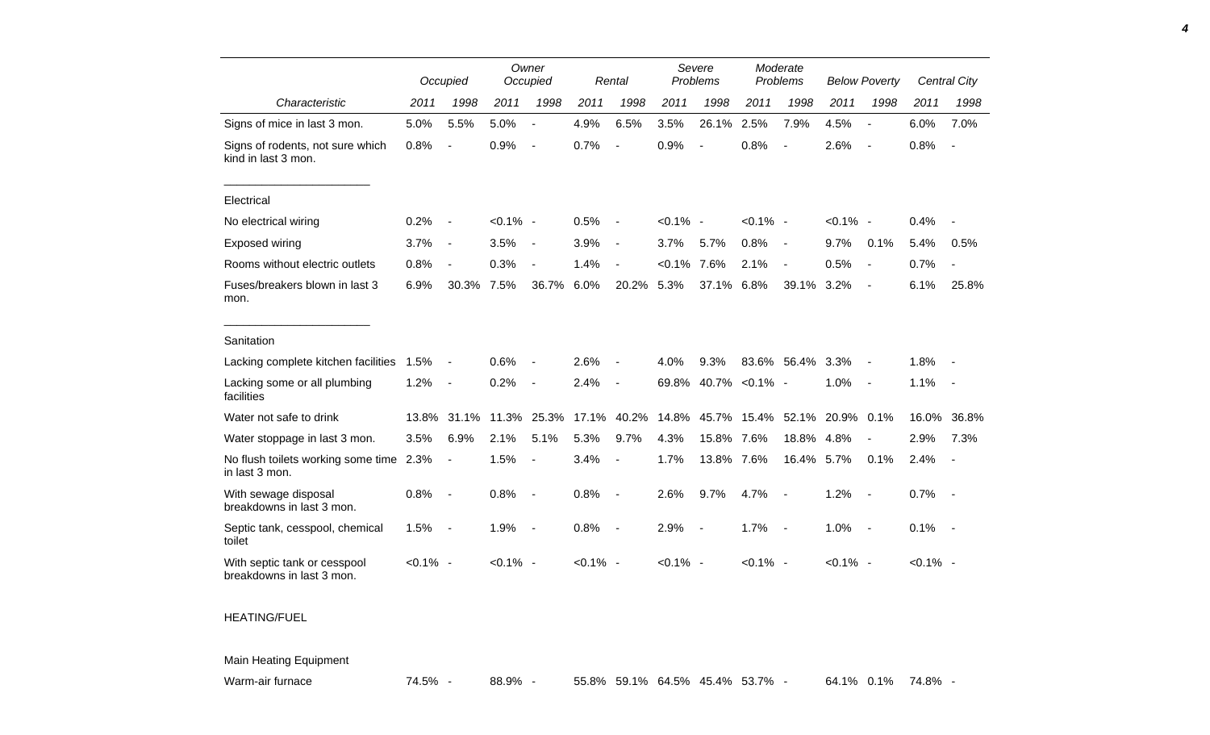|                                                           |             | Occupied                     |             | Owner<br>Occupied        |             | Rental                   |             | Severe<br>Problems       |             | Moderate<br>Problems     |             | <b>Below Poverty</b>     |             | <b>Central City</b> |
|-----------------------------------------------------------|-------------|------------------------------|-------------|--------------------------|-------------|--------------------------|-------------|--------------------------|-------------|--------------------------|-------------|--------------------------|-------------|---------------------|
| Characteristic                                            | 2011        | 1998                         | 2011        | 1998                     | 2011        | 1998                     | 2011        | 1998                     | 2011        | 1998                     | 2011        | 1998                     | 2011        | 1998                |
| Signs of mice in last 3 mon.                              | 5.0%        | 5.5%                         | 5.0%        | $\overline{a}$           | 4.9%        | 6.5%                     | 3.5%        | 26.1%                    | 2.5%        | 7.9%                     | 4.5%        | $\overline{\phantom{a}}$ | 6.0%        | 7.0%                |
| Signs of rodents, not sure which<br>kind in last 3 mon.   | 0.8%        | $\qquad \qquad \blacksquare$ | 0.9%        | $\blacksquare$           | 0.7%        | $\blacksquare$           | 0.9%        | $\blacksquare$           | 0.8%        | $\overline{\phantom{a}}$ | 2.6%        | $\overline{\phantom{a}}$ | 0.8%        | $\blacksquare$      |
| Electrical                                                |             |                              |             |                          |             |                          |             |                          |             |                          |             |                          |             |                     |
| No electrical wiring                                      | 0.2%        | $\overline{\phantom{a}}$     | $< 0.1\%$ - |                          | 0.5%        | $\overline{\phantom{a}}$ | $< 0.1\%$ - |                          | $< 0.1\%$ - |                          | $< 0.1\%$ - |                          | 0.4%        |                     |
| Exposed wiring                                            | 3.7%        | $\qquad \qquad \blacksquare$ | 3.5%        | $\blacksquare$           | 3.9%        | $\blacksquare$           | 3.7%        | 5.7%                     | 0.8%        | $\overline{\phantom{a}}$ | 9.7%        | 0.1%                     | 5.4%        | 0.5%                |
| Rooms without electric outlets                            | 0.8%        | $\overline{\phantom{a}}$     | 0.3%        | $\overline{\phantom{a}}$ | 1.4%        | $\blacksquare$           | $< 0.1\%$   | 7.6%                     | 2.1%        | $\blacksquare$           | 0.5%        | $\overline{a}$           | 0.7%        | $\blacksquare$      |
| Fuses/breakers blown in last 3<br>mon.                    | 6.9%        | 30.3%                        | 7.5%        | 36.7%                    | 6.0%        | 20.2%                    | 5.3%        | 37.1%                    | 6.8%        | 39.1%                    | 3.2%        | $\overline{\phantom{a}}$ | 6.1%        | 25.8%               |
| Sanitation                                                |             |                              |             |                          |             |                          |             |                          |             |                          |             |                          |             |                     |
| Lacking complete kitchen facilities                       | 1.5%        |                              | 0.6%        |                          | 2.6%        | $\overline{a}$           | 4.0%        | 9.3%                     |             | 83.6% 56.4%              | 3.3%        |                          | 1.8%        |                     |
| Lacking some or all plumbing<br>facilities                | 1.2%        | $\overline{\phantom{a}}$     | 0.2%        | $\blacksquare$           | 2.4%        | $\overline{\phantom{a}}$ |             | 69.8% 40.7%              | $< 0.1\%$ - |                          | 1.0%        | $\sim$                   | 1.1%        | $\sim$              |
| Water not safe to drink                                   | 13.8%       | 31.1%                        | 11.3%       | 25.3%                    | 17.1%       | 40.2%                    | 14.8%       | 45.7%                    |             | 15.4% 52.1%              | 20.9% 0.1%  |                          | 16.0%       | 36.8%               |
| Water stoppage in last 3 mon.                             | 3.5%        | 6.9%                         | 2.1%        | 5.1%                     | 5.3%        | 9.7%                     | 4.3%        | 15.8%                    | 7.6%        | 18.8%                    | 4.8%        | $\overline{\phantom{a}}$ | 2.9%        | 7.3%                |
| No flush toilets working some time 2.3%<br>in last 3 mon. |             | $\blacksquare$               | 1.5%        | $\sim$                   | 3.4%        | $\blacksquare$           | 1.7%        | 13.8%                    | 7.6%        | 16.4%                    | 5.7%        | 0.1%                     | 2.4%        |                     |
| With sewage disposal<br>breakdowns in last 3 mon.         | 0.8%        | $\overline{\phantom{a}}$     | 0.8%        | $\overline{\phantom{a}}$ | 0.8%        | $\overline{\phantom{a}}$ | 2.6%        | 9.7%                     | 4.7%        | $\overline{\phantom{a}}$ | 1.2%        | $\overline{\phantom{a}}$ | 0.7%        | $\sim$ $-$          |
| Septic tank, cesspool, chemical<br>toilet                 | 1.5%        | $\overline{\phantom{a}}$     | 1.9%        | $\overline{\phantom{a}}$ | 0.8%        | $\overline{\phantom{a}}$ | 2.9%        | $\overline{\phantom{a}}$ | 1.7%        | $\sim$                   | 1.0%        | $\sim$                   | 0.1%        | $\sim$              |
| With septic tank or cesspool<br>breakdowns in last 3 mon. | $< 0.1\%$ - |                              | $< 0.1\%$ - |                          | $< 0.1\%$ - |                          | $< 0.1\%$ - |                          | $< 0.1\%$ - |                          | $< 0.1\%$ - |                          | $< 0.1\%$ - |                     |
| <b>LIEATING/ELIEL</b>                                     |             |                              |             |                          |             |                          |             |                          |             |                          |             |                          |             |                     |

HEATING/FUEL

Main Heating Equipment

Warm-air furnace **74.5% - 88.9% - 55.8% 59.1% 64.5% 45.4% 53.7% - 64.1% 0.1% 74.8%** 

*4*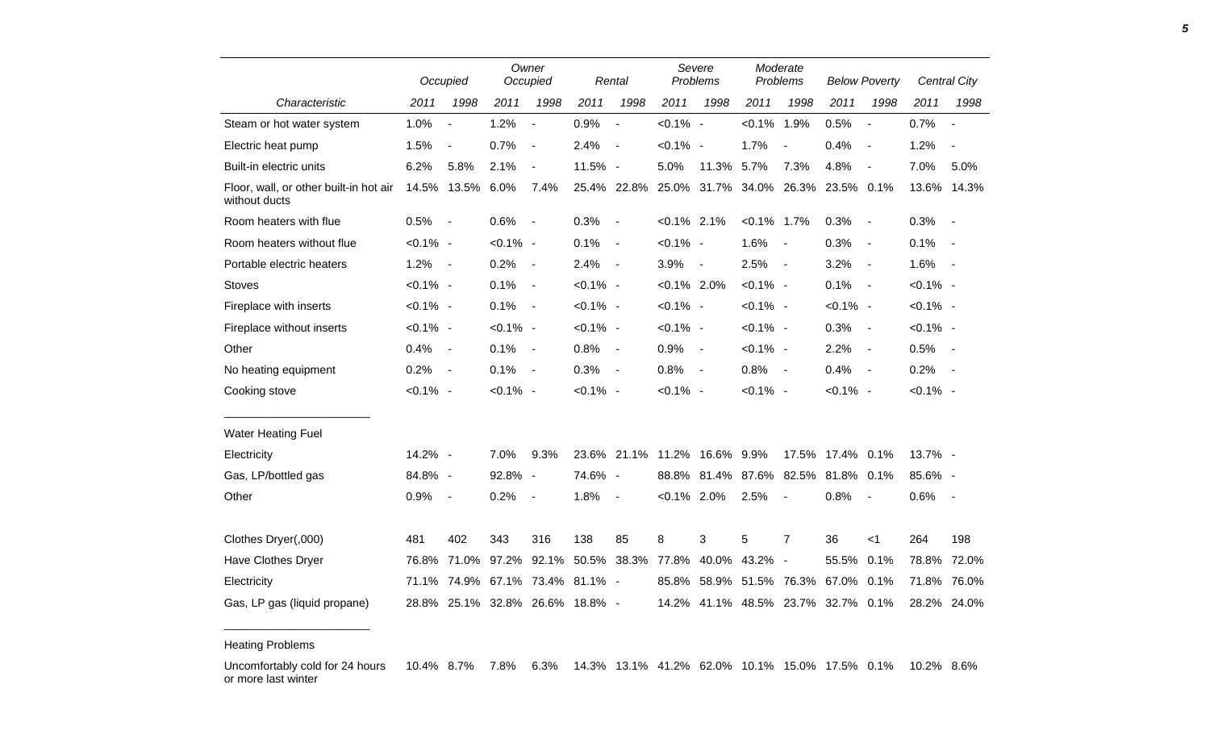|                                                         |             | Owner<br>Occupied<br>Occupied |             |                                 |             | Rental                   |                | Severe<br>Problems       | Moderate<br>Problems |                          | <b>Below Poverty</b>         |                          |             | Central City             |
|---------------------------------------------------------|-------------|-------------------------------|-------------|---------------------------------|-------------|--------------------------|----------------|--------------------------|----------------------|--------------------------|------------------------------|--------------------------|-------------|--------------------------|
| Characteristic                                          | 2011        | 1998                          | 2011        | 1998                            | 2011        | 1998                     | 2011           | 1998                     | 2011                 | 1998                     | 2011                         | 1998                     | 2011        | 1998                     |
| Steam or hot water system                               | 1.0%        | $\overline{a}$                | 1.2%        | $\overline{\phantom{a}}$        | 0.9%        | $\overline{\phantom{a}}$ | $< 0.1\%$ -    |                          | $< 0.1\%$            | 1.9%                     | 0.5%                         | $\overline{\phantom{a}}$ | 0.7%        | $\blacksquare$           |
| Electric heat pump                                      | 1.5%        | $\blacksquare$                | 0.7%        | $\overline{\phantom{a}}$        | 2.4%        | $\overline{\phantom{a}}$ | $< 0.1\%$ -    |                          | 1.7%                 | $\blacksquare$           | 0.4%                         | $\sim$                   | 1.2%        | $\overline{\phantom{a}}$ |
| Built-in electric units                                 | 6.2%        | 5.8%                          | 2.1%        | $\blacksquare$                  | 11.5% -     |                          | 5.0%           | 11.3%                    | 5.7%                 | 7.3%                     | 4.8%                         | $\overline{\phantom{a}}$ | 7.0%        | 5.0%                     |
| Floor, wall, or other built-in hot air<br>without ducts |             | 14.5% 13.5%                   | 6.0%        | 7.4%                            |             | 25.4% 22.8%              | 25.0%          | 31.7%                    | 34.0%                | 26.3%                    | 23.5% 0.1%                   |                          |             | 13.6% 14.3%              |
| Room heaters with flue                                  | 0.5%        | $\blacksquare$                | 0.6%        | $\overline{\phantom{a}}$        | 0.3%        | $\blacksquare$           | $< 0.1\%$ 2.1% |                          | $< 0.1\%$ 1.7%       |                          | 0.3%                         | $\sim$                   | 0.3%        | $\sim$                   |
| Room heaters without flue                               | $< 0.1\%$ - |                               | $< 0.1\%$ - |                                 | 0.1%        | $\overline{\phantom{a}}$ | $< 0.1\%$ -    |                          | 1.6%                 | $\sim$                   | 0.3%                         | $\sim$                   | 0.1%        | $\overline{\phantom{a}}$ |
| Portable electric heaters                               | 1.2%        | $\blacksquare$                | 0.2%        | $\blacksquare$                  | 2.4%        | $\overline{\phantom{a}}$ | 3.9%           | $\overline{\phantom{a}}$ | 2.5%                 | $\sim$                   | 3.2%                         | $\sim$                   | 1.6%        | $\sim$ $-$               |
| <b>Stoves</b>                                           | $< 0.1\%$ - |                               | 0.1%        | $\overline{\phantom{a}}$        | $< 0.1\%$ - |                          | $< 0.1\%$ 2.0% |                          | $< 0.1\%$ -          |                          | 0.1%                         | $\sim$                   | $< 0.1\%$ - |                          |
| Fireplace with inserts                                  | $< 0.1\%$ - |                               | 0.1%        | $\overline{\phantom{a}}$        | $< 0.1\%$ - |                          | $< 0.1\%$ -    |                          | $< 0.1\%$ -          |                          | $< 0.1\%$ -                  |                          | $< 0.1\%$ - |                          |
| Fireplace without inserts                               | $< 0.1\%$ - |                               | $< 0.1\%$ - |                                 | $< 0.1\%$ - |                          | $< 0.1\%$ -    |                          | $< 0.1\%$ -          |                          | 0.3%                         | $\sim$                   | $< 0.1\%$ - |                          |
| Other                                                   | 0.4%        | $\qquad \qquad \blacksquare$  | 0.1%        | $\overline{\phantom{a}}$        | 0.8%        | $\sim$                   | 0.9%           | $\sim$                   | $< 0.1\%$ -          |                          | 2.2%                         | $\sim$                   | 0.5%        | $\sim$ $\sim$            |
| No heating equipment                                    | 0.2%        | $\qquad \qquad \blacksquare$  | 0.1%        | $\overline{\phantom{a}}$        | 0.3%        | $\overline{\phantom{a}}$ | 0.8%           | $\sim$                   | 0.8%                 | $\sim$                   | 0.4%                         | $\sim$ $-$               | 0.2%        | $\sim$ $-$               |
| Cooking stove                                           | $< 0.1\%$ - |                               | $< 0.1\%$ - |                                 | $< 0.1\%$ - |                          | $< 0.1\%$ -    |                          | $< 0.1\%$ -          |                          | $< 0.1\%$ -                  |                          | $< 0.1\%$ - |                          |
| <b>Water Heating Fuel</b>                               |             |                               |             |                                 |             |                          |                |                          |                      |                          |                              |                          |             |                          |
| Electricity                                             | 14.2% -     |                               | 7.0%        | 9.3%                            |             | 23.6% 21.1% 11.2%        |                | 16.6% 9.9%               |                      |                          | 17.5% 17.4% 0.1%             |                          | 13.7% -     |                          |
| Gas, LP/bottled gas                                     | 84.8% -     |                               | 92.8% -     |                                 | 74.6% -     |                          | 88.8%          |                          | 81.4% 87.6% 82.5%    |                          | 81.8% 0.1%                   |                          | 85.6% -     |                          |
| Other                                                   | 0.9%        | $\blacksquare$                | 0.2%        | $\overline{\phantom{a}}$        | 1.8%        | $\blacksquare$           | $< 0.1\%$ 2.0% |                          | 2.5%                 | $\overline{\phantom{a}}$ | 0.8%                         |                          | 0.6%        | $\sim$                   |
| Clothes Dryer(,000)                                     | 481         | 402                           | 343         | 316                             | 138         | 85                       | 8              | 3                        | 5                    | $\overline{7}$           | 36                           | $<$ 1                    | 264         | 198                      |
| <b>Have Clothes Dryer</b>                               | 76.8%       | 71.0%                         | 97.2%       | 92.1%                           |             | 50.5% 38.3%              | 77.8%          | 40.0%                    | 43.2% -              |                          | 55.5%                        | 0.1%                     | 78.8%       | 72.0%                    |
| Electricity                                             |             |                               |             | 71.1% 74.9% 67.1% 73.4% 81.1% - |             |                          | 85.8%          |                          | 58.9% 51.5% 76.3%    |                          | 67.0% 0.1%                   |                          | 71.8%       | 76.0%                    |
| Gas, LP gas (liquid propane)                            |             |                               |             | 28.8% 25.1% 32.8% 26.6% 18.8% - |             |                          | 14.2%          |                          |                      |                          | 41.1% 48.5% 23.7% 32.7% 0.1% |                          |             | 28.2% 24.0%              |

Heating Problems

\_\_\_\_\_\_\_\_\_\_\_\_\_\_\_\_\_\_\_\_\_\_\_

Uncomfortably cold for 24 hours or more last winter 10.4% 8.7% 7.8% 6.3% 14.3% 13.1% 41.2% 62.0% 10.1% 15.0% 17.5% 0.1% 10.2% 8.6%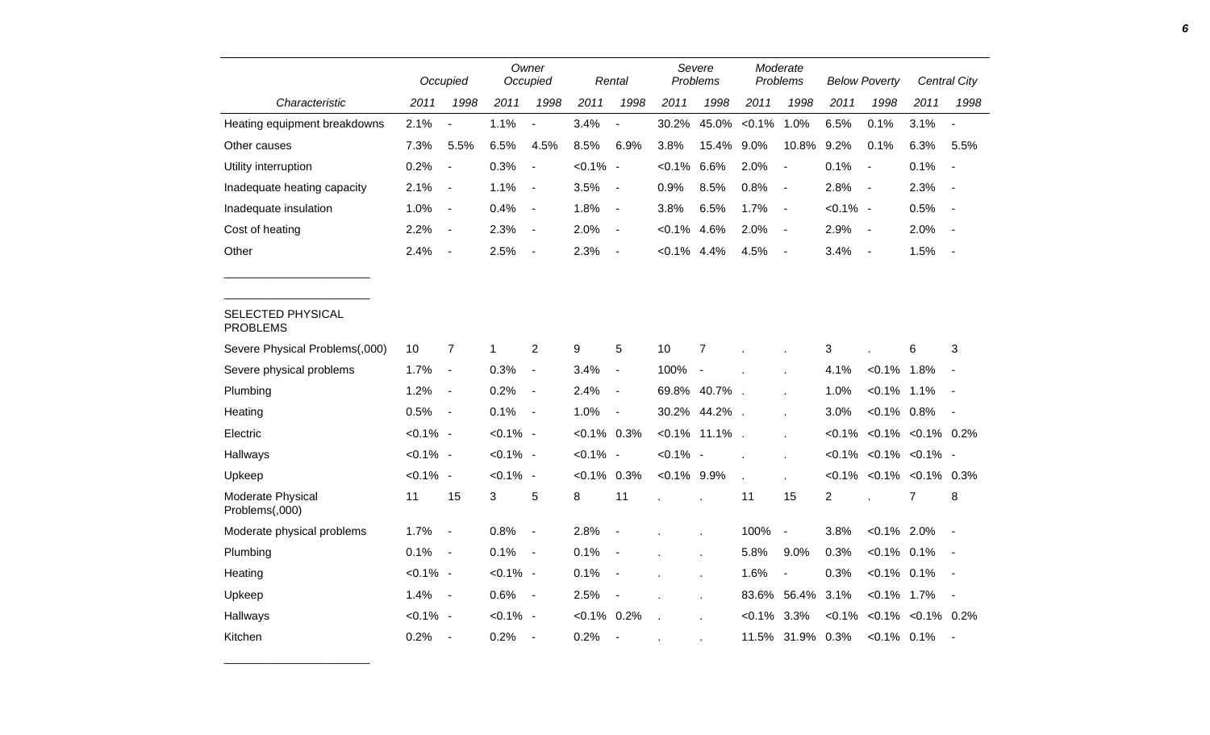|                                      |             | Owner                    |             |                          |                |                          | Severe<br>Moderate |                  |                |                  |                |                                    |      |                          |
|--------------------------------------|-------------|--------------------------|-------------|--------------------------|----------------|--------------------------|--------------------|------------------|----------------|------------------|----------------|------------------------------------|------|--------------------------|
|                                      |             | Occupied                 |             | Occupied                 |                | Rental                   |                    | Problems         |                | Problems         |                | <b>Below Poverty</b>               |      | Central City             |
| Characteristic                       | 2011        | 1998                     | 2011        | 1998                     | 2011           | 1998                     | 2011               | 1998             | 2011           | 1998             | 2011           | 1998                               | 2011 | 1998                     |
| Heating equipment breakdowns         | 2.1%        | $\overline{a}$           | 1.1%        | $\overline{a}$           | 3.4%           | $\overline{a}$           | 30.2%              | 45.0%            | $< 0.1\%$      | 1.0%             | 6.5%           | 0.1%                               | 3.1% | $\blacksquare$           |
| Other causes                         | 7.3%        | 5.5%                     | 6.5%        | 4.5%                     | 8.5%           | 6.9%                     | 3.8%               | 15.4%            | 9.0%           | 10.8%            | 9.2%           | 0.1%                               | 6.3% | 5.5%                     |
| Utility interruption                 | 0.2%        | $\blacksquare$           | 0.3%        | $\blacksquare$           | $< 0.1\%$ -    |                          | $< 0.1\%$          | 6.6%             | 2.0%           | $\blacksquare$   | 0.1%           | $\sim$                             | 0.1% | $\blacksquare$           |
| Inadequate heating capacity          | 2.1%        | $\blacksquare$           | 1.1%        | $\overline{\phantom{a}}$ | 3.5%           | $\blacksquare$           | 0.9%               | 8.5%             | 0.8%           | $\blacksquare$   | 2.8%           | $\sim$ $-$                         | 2.3% | $\overline{a}$           |
| Inadequate insulation                | 1.0%        | $\blacksquare$           | 0.4%        | $\overline{\phantom{a}}$ | 1.8%           | $\blacksquare$           | 3.8%               | 6.5%             | 1.7%           | $\blacksquare$   | $< 0.1\%$ -    |                                    | 0.5% | $\blacksquare$           |
| Cost of heating                      | 2.2%        | $\blacksquare$           | 2.3%        | $\sim$                   | 2.0%           | $\blacksquare$           | $< 0.1\%$          | 4.6%             | 2.0%           | $\blacksquare$   | 2.9%           | $\sim$ $-$                         | 2.0% | $\blacksquare$           |
| Other                                | 2.4%        | $\blacksquare$           | 2.5%        | $\overline{\phantom{a}}$ | 2.3%           | $\overline{\phantom{a}}$ | $< 0.1\%$ 4.4%     |                  | 4.5%           | $\blacksquare$   | 3.4%           | $\sim$                             | 1.5% | $\blacksquare$           |
|                                      |             |                          |             |                          |                |                          |                    |                  |                |                  |                |                                    |      |                          |
|                                      |             |                          |             |                          |                |                          |                    |                  |                |                  |                |                                    |      |                          |
| SELECTED PHYSICAL<br><b>PROBLEMS</b> |             |                          |             |                          |                |                          |                    |                  |                |                  |                |                                    |      |                          |
| Severe Physical Problems(,000)       | 10          | $\overline{7}$           | $\mathbf 1$ | $\overline{2}$           | 9              | 5                        | 10                 | $\overline{7}$   |                |                  | 3              |                                    | 6    | 3                        |
| Severe physical problems             | 1.7%        | $\overline{\phantom{a}}$ | 0.3%        | $\blacksquare$           | 3.4%           | $\blacksquare$           | 100%               | $\sim$           |                |                  | 4.1%           | $< 0.1\%$ 1.8%                     |      | $\overline{\phantom{a}}$ |
| Plumbing                             | 1.2%        | $\blacksquare$           | 0.2%        | $\sim$                   | 2.4%           | $\overline{\phantom{a}}$ |                    | 69.8% 40.7%.     |                |                  | 1.0%           | $< 0.1\%$ 1.1%                     |      | $\blacksquare$           |
| Heating                              | 0.5%        | $\overline{\phantom{a}}$ | 0.1%        | $\sim$ $-$               | 1.0%           | $\overline{\phantom{a}}$ |                    | 30.2% 44.2%.     |                |                  | 3.0%           | $< 0.1\%$ 0.8%                     |      |                          |
| Electric                             | $< 0.1\%$ - |                          | $< 0.1\%$ - |                          | $< 0.1\%$ 0.3% |                          |                    | $< 0.1\%$ 11.1%. |                | $\mathbf{r}$     |                | $< 0.1\%$ $< 0.1\%$ $< 0.1\%$ 0.2% |      |                          |
| Hallways                             | $< 0.1\%$ - |                          | $< 0.1\%$ - |                          | $< 0.1\%$ -    |                          | $< 0.1\%$ -        |                  |                |                  |                | $< 0.1\%$ $< 0.1\%$ $< 0.1\%$ -    |      |                          |
| Upkeep                               | $< 0.1\%$ - |                          | $< 0.1\%$ - |                          | $< 0.1\%$      | 0.3%                     | $< 0.1\%$ 9.9%     |                  |                |                  |                | $< 0.1\%$ $< 0.1\%$ $< 0.1\%$ 0.3% |      |                          |
| Moderate Physical<br>Problems(,000)  | 11          | 15                       | 3           | 5                        | 8              | 11                       |                    |                  | 11             | 15               | $\overline{c}$ |                                    | 7    | 8                        |
| Moderate physical problems           | 1.7%        | $\blacksquare$           | 0.8%        | $\sim$                   | 2.8%           | $\blacksquare$           |                    |                  | 100%           | $\blacksquare$   | 3.8%           | $< 0.1\%$ 2.0%                     |      | $\blacksquare$           |
| Plumbing                             | 0.1%        | $\sim$                   | 0.1%        | $\sim$ $-$               | 0.1%           |                          |                    |                  | 5.8%           | 9.0%             | 0.3%           | $< 0.1\%$ 0.1%                     |      | $\overline{\phantom{a}}$ |
| Heating                              | $< 0.1\%$ - |                          | $< 0.1\%$ - |                          | 0.1%           | $\overline{\phantom{a}}$ |                    |                  | 1.6%           | $\blacksquare$   | 0.3%           | $< 0.1\%$ 0.1%                     |      | $\blacksquare$           |
| Upkeep                               | 1.4%        | $\sim$ $-$               | $0.6\%$ -   |                          | 2.5%           | $\overline{\phantom{a}}$ |                    |                  |                | 83.6% 56.4% 3.1% |                | $< 0.1\%$ 1.7%                     |      | $\blacksquare$           |
| Hallways                             | $< 0.1\%$ - |                          | $< 0.1\%$ - |                          | $< 0.1\%$ 0.2% |                          |                    |                  | $< 0.1\%$ 3.3% |                  |                | $< 0.1\%$ $< 0.1\%$ $< 0.1\%$ 0.2% |      |                          |
| Kitchen                              | 0.2%        | $\overline{\phantom{a}}$ | 0.2%        | $\sim$                   | 0.2%           | $\blacksquare$           |                    |                  |                | 11.5% 31.9% 0.3% |                | $< 0.1\%$ 0.1%                     |      | $\sim$                   |

\_\_\_\_\_\_\_\_\_\_\_\_\_\_\_\_\_\_\_\_\_\_\_